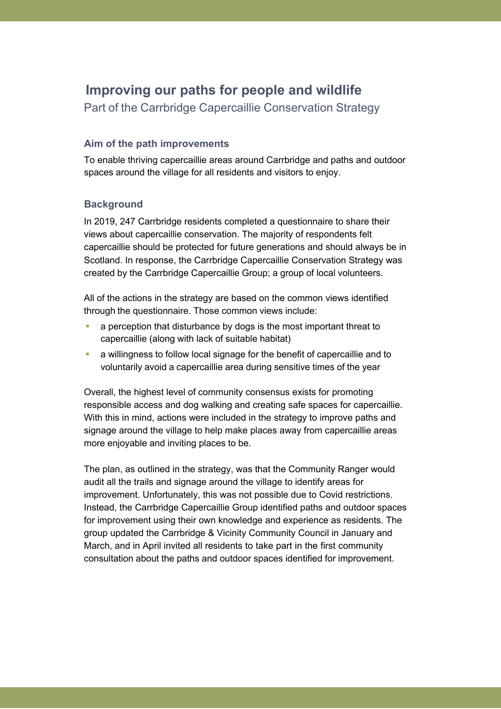# **Improving our paths for people and wildlife**

Part of the Carrbridge Capercaillie Conservation Strategy

### **Aim of the path improvements**

To enable thriving capercaillie areas around Carrbridge and paths and outdoor spaces around the village for all residents and visitors to enjoy.

### **Background**

In 2019, 247 Carrbridge residents completed a questionnaire to share their views about capercaillie conservation. The majority of respondents felt capercaillie should be protected for future generations and should always be in Scotland. In response, the Carrbridge Capercaillie Conservation Strategy was created by the Carrbridge Capercaillie Group; a group of local volunteers.

All of the actions in the strategy are based on the common views identified through the questionnaire. Those common views include:

- a perception that disturbance by dogs is the most important threat to capercaillie (along with lack of suitable habitat)
- a willingness to follow local signage for the benefit of capercaillie and to voluntarily avoid a capercaillie area during sensitive times of the year

Overall, the highest level of community consensus exists for promoting responsible access and dog walking and creating safe spaces for capercaillie. With this in mind, actions were included in the strategy to improve paths and signage around the village to help make places away from capercaillie areas more enjoyable and inviting places to be.

The plan, as outlined in the strategy, was that the Community Ranger would audit all the trails and signage around the village to identify areas for improvement. Unfortunately, this was not possible due to Covid restrictions. Instead, the Carrbridge Capercaillie Group identified paths and outdoor spaces for improvement using their own knowledge and experience as residents. The group updated the Carrbridge & Vicinity Community Council in January and March, and in April invited all residents to take part in the first community consultation about the paths and outdoor spaces identified for improvement.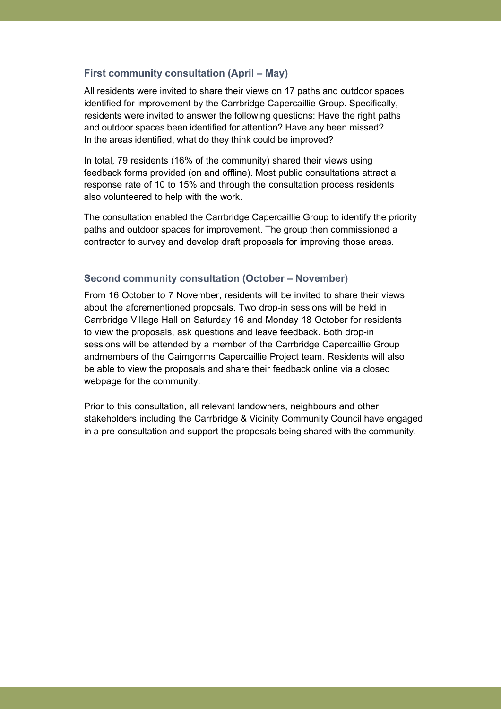### **First community consultation (April – May)**

All residents were invited to share their views on 17 paths and outdoor spaces identified for improvement by the Carrbridge Capercaillie Group. Specifically, residents were invited to answer the following questions: Have the right paths and outdoor spaces been identified for attention? Have any been missed? In the areas identified, what do they think could be improved?

In total, 79 residents (16% of the community) shared their views using feedback forms provided (on and offline). Most public consultations attract a response rate of 10 to 15% and through the consultation process residents also volunteered to help with the work.

The consultation enabled the Carrbridge Capercaillie Group to identify the priority paths and outdoor spaces for improvement. The group then commissioned a contractor to survey and develop draft proposals for improving those areas.

#### **Second community consultation (October – November)**

From 16 October to 7 November, residents will be invited to share their views about the aforementioned proposals. Two drop-in sessions will be held in Carrbridge Village Hall on Saturday 16 and Monday 18 October for residents to view the proposals, ask questions and leave feedback. Both drop-in sessions will be attended by a member of the Carrbridge Capercaillie Group andmembers of the Cairngorms Capercaillie Project team. Residents will also be able to view the proposals and share their feedback online via a closed webpage for the community.

Prior to this consultation, all relevant landowners, neighbours and other stakeholders including the Carrbridge & Vicinity Community Council have engaged in a pre-consultation and support the proposals being shared with the community.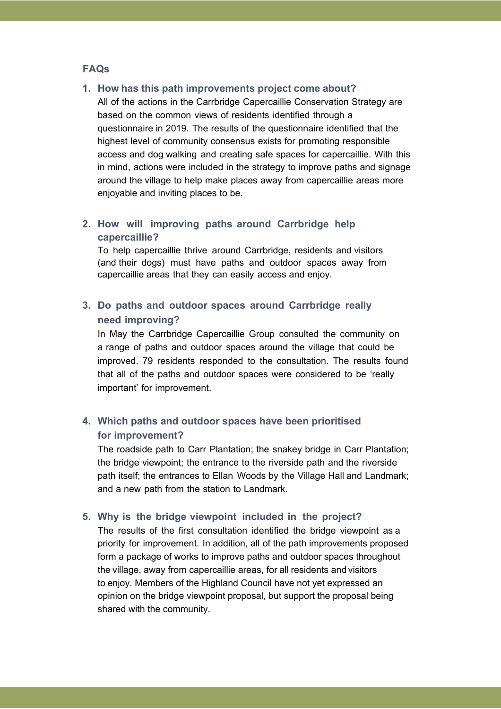### **FAQs**

#### **1. How has this path improvements project come about?**

All of the actions in the Carrbridge Capercaillie Conservation Strategy are based on the common views of residents identified through a questionnaire in 2019. The results of the questionnaire identified that the highest level of community consensus exists for promoting responsible access and dog walking and creating safe spaces for capercaillie. With this in mind, actions were included in the strategy to improve paths and signage around the village to help make places away from capercaillie areas more enjoyable and inviting places to be.

### **2. How will improving paths around Carrbridge help capercaillie?**

To help capercaillie thrive around Carrbridge, residents and visitors (and their dogs) must have paths and outdoor spaces away from capercaillie areas that they can easily access and enjoy.

# **3. Do paths and outdoor spaces around Carrbridge really need improving?**

In May the Carrbridge Capercaillie Group consulted the community on a range of paths and outdoor spaces around the village that could be improved. 79 residents responded to the consultation. The results found that all of the paths and outdoor spaces were considered to be 'really important' for improvement.

# **4. Which paths and outdoor spaces have been prioritised for improvement?**

The roadside path to Carr Plantation; the snakey bridge in Carr Plantation; the bridge viewpoint; the entrance to the riverside path and the riverside path itself; the entrances to Ellan Woods by the Village Hall and Landmark; and a new path from the station to Landmark.

### **5. Why is the bridge viewpoint included in the project?**

The results of the first consultation identified the bridge viewpoint as a priority for improvement. In addition, all of the path improvements proposed form a package of works to improve paths and outdoor spaces throughout the village, away from capercaillie areas, for all residents and visitors to enjoy. Members of the Highland Council have not yet expressed an opinion on the bridge viewpoint proposal, but support the proposal being shared with the community.